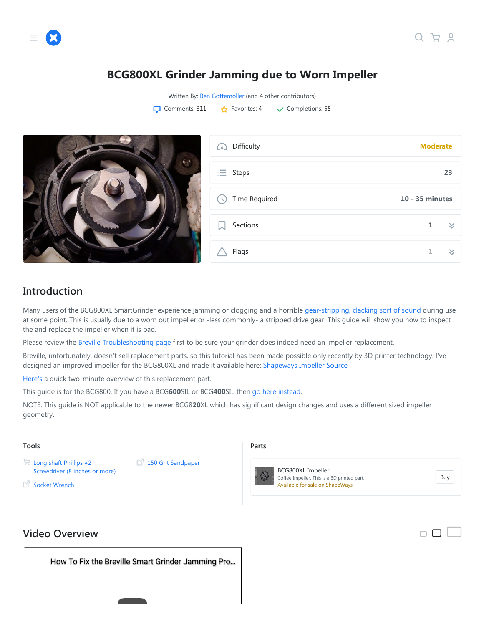## **BCG800XL Grinder Jamming due to Worn Impeller**

Written By: [Ben Gottemoller](https://www.ifixit.com/User/1592199/Ben+Gottemoller) [\(and 4 other contributors\)](https://www.ifixit.com/Guide/history/intro/62905)  $\Box$  Comments: 311  $\Box$  Favorites: 4  $\Box$  Completions: 55



## **Introduction**

Many users of the BCG800XL SmartGrinder experience jamming or clogging and a horrible [gear-stripping, clacking sort of sound](https://www.youtube.com/watch?v=8tCumd7M7Uw) during use at some point. This is usually due to a worn out impeller or -less commonly- a stripped drive gear. This guide will show you how to inspect the and replace the impeller when it is bad.

Please review the [Breville Troubleshooting page](https://www.ifixit.com/Wiki/Breville_BCG800XL_Smart_Grinder_Troubleshooting) first to be sure your grinder does indeed need an impeller replacement.

Breville, unfortunately, doesn't sell replacement parts, so this tutorial has been made possible only recently by 3D printer technology. I've designed an improved impeller for the BCG800XL and made it available here: [Shapeways Impeller Source](https://www.shapeways.com/product/NASLAGCCP/breville-coffee-grinder-impeller-upgrade)

[Here's](https://youtu.be/zB5F9ha1-zs) a quick two-minute overview of this replacement part.

This guide is for the BCG800. If you have a BCG**600**SIL or BCG**400**SIL then [go here instead](https://www.ifixit.com/Guide/BCG600SIL+Dose+Control+Pro+Coffee+Grinder+-+Jamming+due+to+Worn+Impeller/96493).

NOTE: This guide is NOT applicable to the newer BCG8**20**XL which has significant design changes and uses a different sized impeller geometry.

#### **Tools**

- Long shaft Phillips #2 [Screwdriver \(8 inches or more\)](https://www.ifixit.com/Item/Long_shaft_Phillips_2_Screwdriver_%288_inches_or_more%29)
- $\mathbb{F}^7$  [Socket Wrench](https://www.homedepot.com/p/Husky-3-8-in-Drive-Round-Head-Ratchet-H38RHRAT/202923414)

[150 Grit Sandpaper](http://www.homedepot.com/p/3M-150-Grit-Fine-Sandpaper-6-Pack-19036-20-CC/202563276)

#### **Parts**



[BCG800XL Impeller](https://www.shapeways.com/product/NASLAGCCP/breville-bcg800xl-coffee-grinder-impeller-upgrade?utm_source=ifixit&utm_medium=website&utm_campaign=ifixit_bcg800xl_impeller) Coffee Impeller, This is a 3D printed part. Available for sale on ShapeWays

[Buy](https://www.shapeways.com/product/NASLAGCCP/breville-bcg800xl-coffee-grinder-impeller-upgrade?utm_source=ifixit&utm_medium=website&utm_campaign=ifixit_bcg800xl_impeller)

#### **Video Overview**

How To Fix the Bre[ville Smart Grinder Jamming Pr](https://www.youtube.com/watch?v=1lL8BInrki8)o...

 $\Box$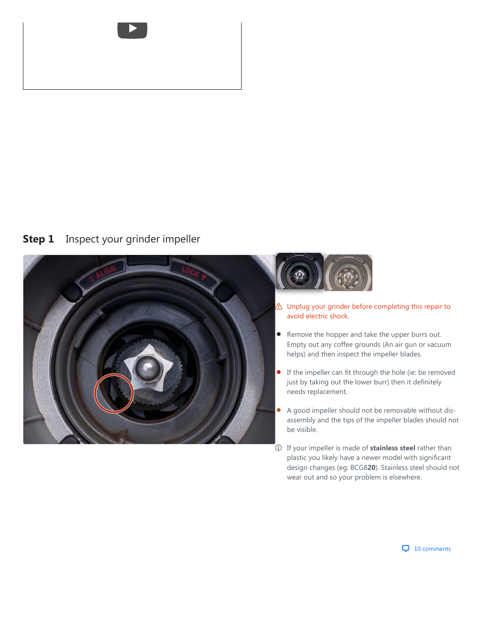

#### <span id="page-1-0"></span>**Step 1** [Inspect your grinder impeller](#page-1-0)





- $\triangle$  Unplug your grinder before completing this repair to avoid electric shock.
- Remove the hopper and take the upper burrs out. Empty out any coffee grounds (An air gun or vacuum helps) and then inspect the impeller blades.  $\bullet$
- If the impeller can fit through the hole (ie: be removed just by taking out the lower burr) then it definitely needs replacement. ò
- A good impeller should not be removable without disassembly and the tips of the impeller blades should not be visible.  $\bullet$
- If your impeller is made of **stainless steel** rather than plastic you likely have a newer model with significant design changes (eg: BCG8**20**). Stainless steel should not wear out and so your problem is elsewhere.

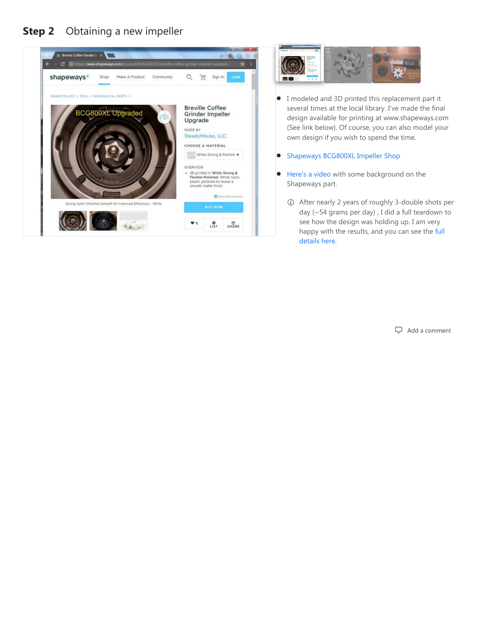#### <span id="page-2-0"></span>**Step 2** [Obtaining a new impeller](#page-2-0)





- I modeled and 3D printed this replacement part it several times at the local library. I've made the final design available for printing at www.shapeways.com (See link below). Of course, you can also model your own design if you wish to spend the time.  $\bullet$
- **[Shapeways BCG800XL Impeller Shop](https://www.shapeways.com/product/NASLAGCCP/breville-coffee-grinder-impeller-upgrade)**
- [Here's a video](https://youtu.be/zB5F9ha1-zs) with some background on the Shapeways part.  $\bullet$ 
	- After nearly 2 years of roughly 3-double shots per day (~54 grams per day) , I did a full teardown to see how the design was holding up. I am very [happy with the results, and you can see the full](https://photos.app.goo.gl/868a5ReyM2XAyjZq8) details here.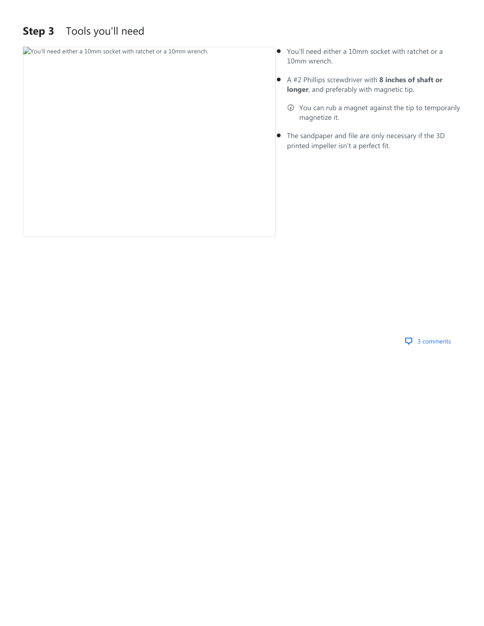# <span id="page-3-0"></span>**Step 3** [Tools you'll need](#page-3-0)

| Wou'll need either a 10mm socket with ratchet or a 10mm wrench. | You'll need either a 10mm socket with ratchet or a<br>$\bullet$<br>10mm wrench.                           |  |  |
|-----------------------------------------------------------------|-----------------------------------------------------------------------------------------------------------|--|--|
|                                                                 | A #2 Phillips screwdriver with 8 inches of shaft or<br>longer, and preferably with magnetic tip.          |  |  |
|                                                                 | You can rub a magnet against the tip to temporarily<br>(i)<br>magnetize it.                               |  |  |
|                                                                 | The sandpaper and file are only necessary if the 3D<br>$\bullet$<br>printed impeller isn't a perfect fit. |  |  |
|                                                                 |                                                                                                           |  |  |
|                                                                 |                                                                                                           |  |  |

**4** 3 comments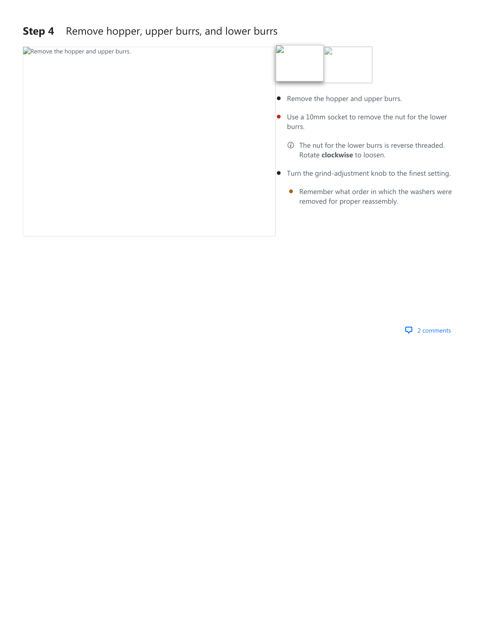#### <span id="page-4-0"></span>**Step 4** [Remove hopper, upper burrs, and lower burrs](#page-4-0)



**4** 2 comments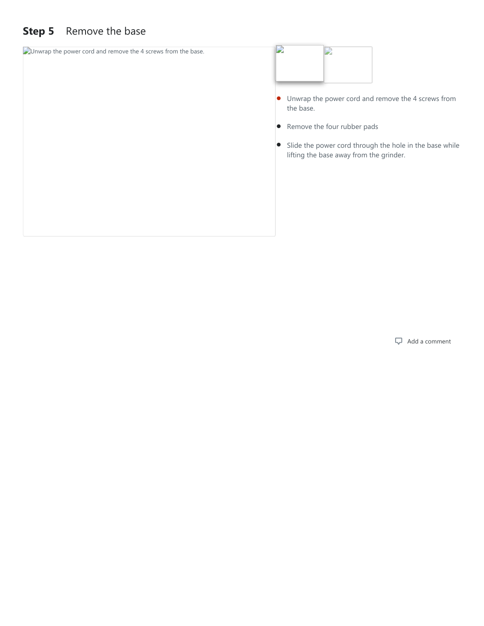# <span id="page-5-0"></span>**Step 5** [Remove the base](#page-5-0)

| $\Box$ Unwrap the power cord and remove the 4 screws from the base. | D<br>D                                                                                               |
|---------------------------------------------------------------------|------------------------------------------------------------------------------------------------------|
|                                                                     | • Unwrap the power cord and remove the 4 screws from<br>the base.                                    |
|                                                                     | • Remove the four rubber pads                                                                        |
|                                                                     | • Slide the power cord through the hole in the base while<br>lifting the base away from the grinder. |
|                                                                     |                                                                                                      |
|                                                                     |                                                                                                      |
|                                                                     |                                                                                                      |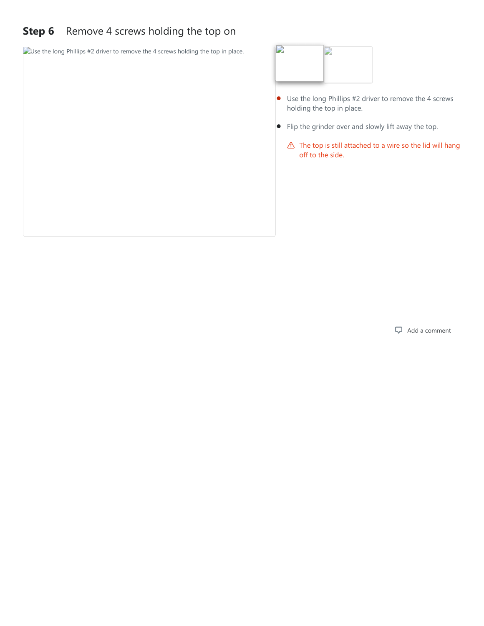# <span id="page-6-0"></span>**Step 6** [Remove 4 screws holding the top on](#page-6-0)

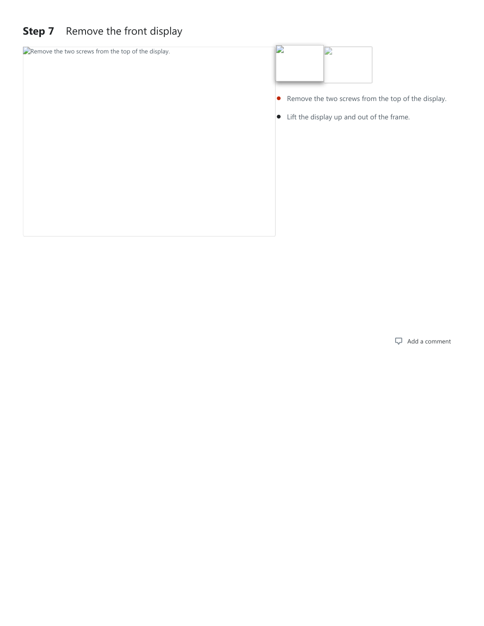# <span id="page-7-0"></span>**Step 7** [Remove the front display](#page-7-0)

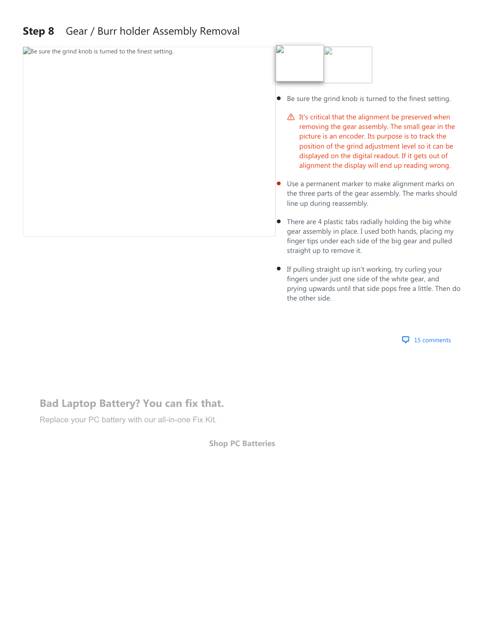# <span id="page-8-0"></span>**Step 8** [Gear / Burr holder Assembly Removal](#page-8-0)



**If pulling straight up isn't working, try curling your** fingers under just one side of the white gear, and prying upwards until that side pops free a little. Then do the other side.

**4** 15 comments

#### **Bad Laptop Battery? You can fix that.**

Replace your PC battery with our all-in-one Fix Kit.

**[Shop PC Batteries](https://www.ifixit.com/PC-Laptop-Batteries)**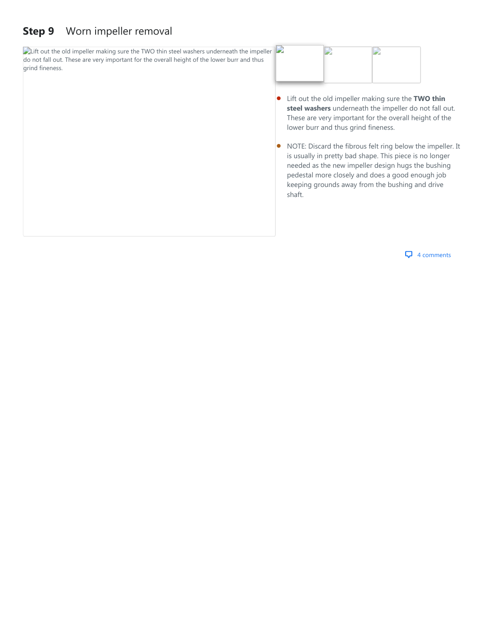#### <span id="page-9-0"></span>**Step 9** [Worn impeller removal](#page-9-0)

 $\Box$  Lift out the old impeller making sure the TWO thin steel washers underneath the impeller do not fall out. These are very important for the overall height of the lower burr and thus grind fineness.



- Lift out the old impeller making sure the **TWO thin steel washers** underneath the impeller do not fall out. These are very important for the overall height of the lower burr and thus grind fineness.  $\bullet$
- NOTE: Discard the fibrous felt ring below the impeller. It is usually in pretty bad shape. This piece is no longer needed as the new impeller design hugs the bushing pedestal more closely and does a good enough job keeping grounds away from the bushing and drive shaft.  $\bullet$

**4** comments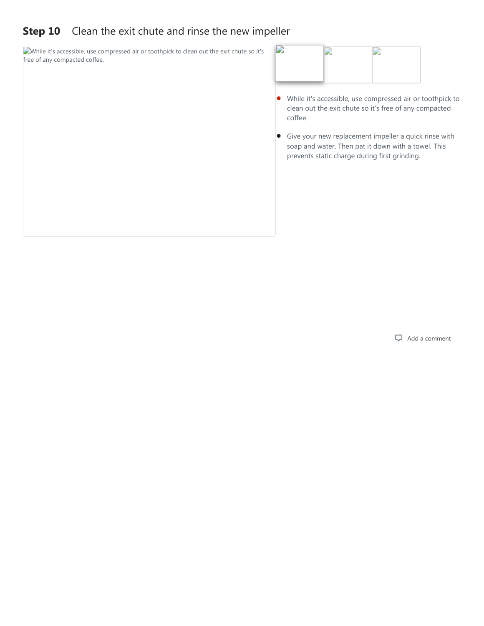#### <span id="page-10-0"></span>**Step 10** [Clean the exit chute and rinse the new impeller](#page-10-0)

While it's accessible, use compressed air or toothpick to clean out the exit chute so it's free of any compacted coffee.



- While it's accessible, use compressed air or toothpick to clean out the exit chute so it's free of any compacted coffee.
- Give your new replacement impeller a quick rinse with soap and water. Then pat it down with a towel. This prevents static charge during first grinding.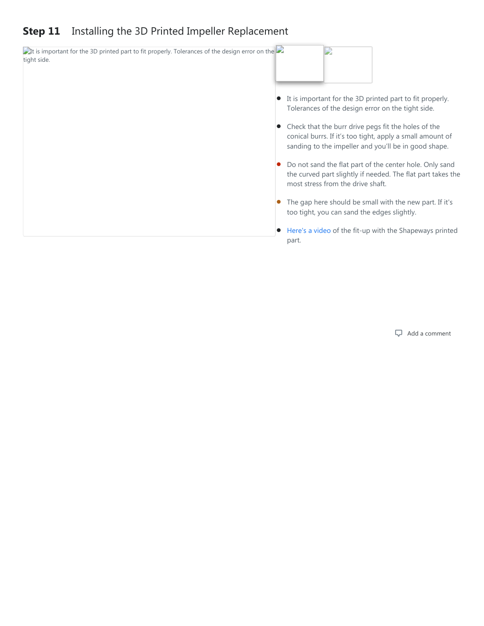#### <span id="page-11-0"></span>**Step 11** [Installing the 3D Printed Impeller Replacement](#page-11-0)

 $\Box$ It is important for the 3D printed part to fit properly. Tolerances of the design error on the  $\Box$ D tight side. It is important for the 3D printed part to fit properly.  $\bullet$ Tolerances of the design error on the tight side. • Check that the burr drive pegs fit the holes of the conical burrs. If it's too tight, apply a small amount of sanding to the impeller and you'll be in good shape. Do not sand the flat part of the center hole. Only sand  $\bullet$ the curved part slightly if needed. The flat part takes the most stress from the drive shaft. The gap here should be small with the new part. If it's  $\bullet$ too tight, you can sand the edges slightly. ● [Here's a video](https://youtu.be/Q8l3dkAJJfA) of the fit-up with the Shapeways printed part.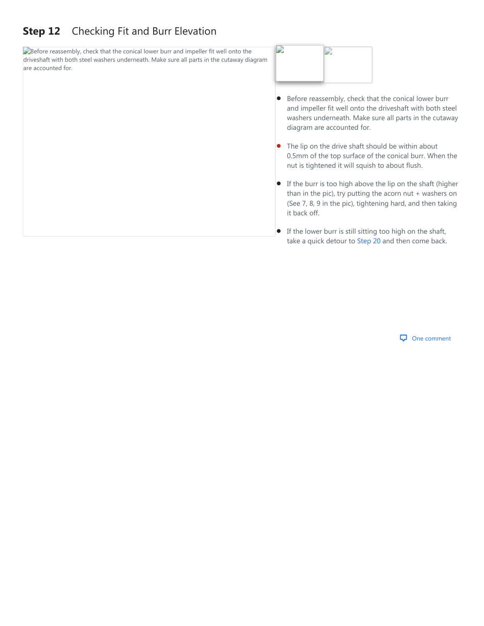### <span id="page-12-0"></span>**Step 12** [Checking Fit and Burr Elevation](#page-12-0)

Before reassembly, check that the conical lower burr and impeller fit well onto the driveshaft with both steel washers underneath. Make sure all parts in the cutaway diagram are accounted for.



- Before reassembly, check that the conical lower burr and impeller fit well onto the driveshaft with both steel washers underneath. Make sure all parts in the cutaway diagram are accounted for.  $\bullet$
- The lip on the drive shaft should be within about 0.5mm of the top surface of the conical burr. When the nut is tightened it will squish to about flush.  $\bullet$
- If the burr is too high above the lip on the shaft (higher than in the pic), try putting the acorn nut + washers on (See 7, 8, 9 in the pic), tightening hard, and then taking it back off.
- $\bullet$  If the lower burr is still sitting too high on the shaft, take a quick detour to [Step 20](#page-20-0) and then come back.

#### One comment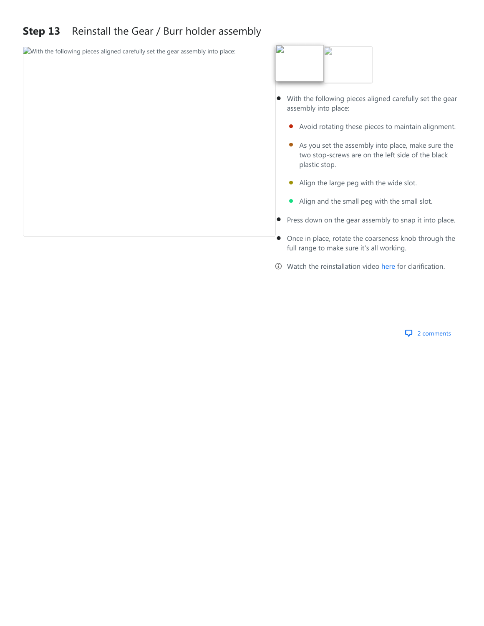# <span id="page-13-0"></span>**Step 13** [Reinstall the Gear / Burr holder assembly](#page-13-0)

| With the following pieces aligned carefully set the gear assembly into place: | D                                                                                                                       |  |  |  |  |
|-------------------------------------------------------------------------------|-------------------------------------------------------------------------------------------------------------------------|--|--|--|--|
|                                                                               |                                                                                                                         |  |  |  |  |
|                                                                               | With the following pieces aligned carefully set the gear<br>assembly into place:                                        |  |  |  |  |
|                                                                               | Avoid rotating these pieces to maintain alignment.                                                                      |  |  |  |  |
|                                                                               | As you set the assembly into place, make sure the<br>two stop-screws are on the left side of the black<br>plastic stop. |  |  |  |  |
|                                                                               | Align the large peg with the wide slot.                                                                                 |  |  |  |  |
|                                                                               | Align and the small peg with the small slot.                                                                            |  |  |  |  |
|                                                                               | • Press down on the gear assembly to snap it into place.                                                                |  |  |  |  |
|                                                                               | Once in place, rotate the coarseness knob through the<br>full range to make sure it's all working.                      |  |  |  |  |

Watch the reinstallation video [here](https://youtu.be/1lL8BInrki8?t=15m41s) for clarification.

#### **4** 2 comments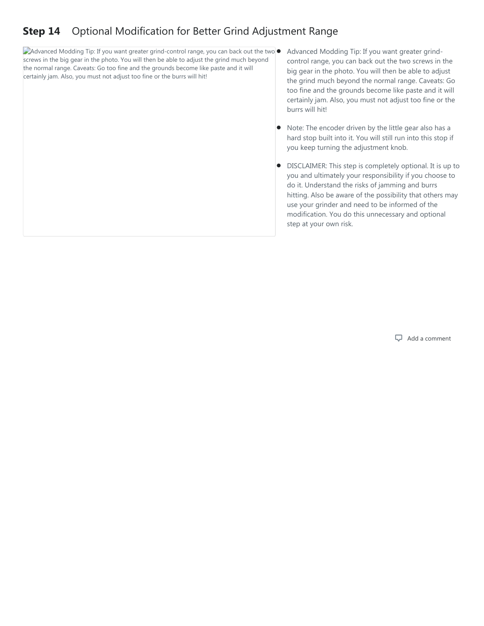## <span id="page-14-0"></span>**Step 14** [Optional Modification for Better Grind Adjustment Range](#page-14-0)

Advanced Modding Tip: If you want greater grind-control range, you can back out the two screws in the big gear in the photo. You will then be able to adjust the grind much beyond the normal range. Caveats: Go too fine and the grounds become like paste and it will certainly jam. Also, you must not adjust too fine or the burrs will hit!

- Advanced Modding Tip: If you want greater grindcontrol range, you can back out the two screws in the big gear in the photo. You will then be able to adjust the grind much beyond the normal range. Caveats: Go too fine and the grounds become like paste and it will certainly jam. Also, you must not adjust too fine or the burrs will hit!
- Note: The encoder driven by the little gear also has a hard stop built into it. You will still run into this stop if you keep turning the adjustment knob.  $\bullet$
- DISCLAIMER: This step is completely optional. It is up to you and ultimately your responsibility if you choose to do it. Understand the risks of jamming and burrs hitting. Also be aware of the possibility that others may use your grinder and need to be informed of the modification. You do this unnecessary and optional step at your own risk.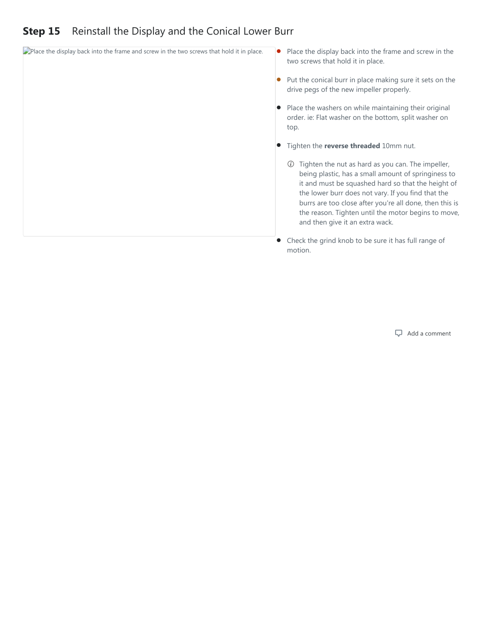#### <span id="page-15-0"></span>**Step 15** [Reinstall the Display and the Conical Lower Burr](#page-15-0)

- $\Box$ Place the display back into the frame and screw in the two screws that hold it in place.  $\bullet$
- two screws that hold it in place. • Place the display back into the frame and screw in the
	- Put the conical burr in place making sure it sets on the drive pegs of the new impeller properly.
	- Place the washers on while maintaining their original order. ie: Flat washer on the bottom, split washer on top.
	- **•** Tighten the **reverse threaded** 10mm nut.
		- $\odot$  Tighten the nut as hard as you can. The impeller, being plastic, has a small amount of springiness to it and must be squashed hard so that the height of the lower burr does not vary. If you find that the burrs are too close after you're all done, then this is the reason. Tighten until the motor begins to move, and then give it an extra wack.
	- Check the grind knob to be sure it has full range of motion.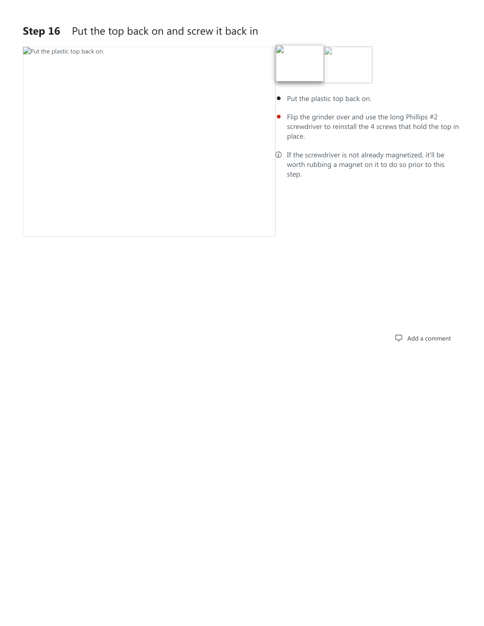#### <span id="page-16-0"></span>**Step 16** [Put the top back on and screw it back in](#page-16-0)

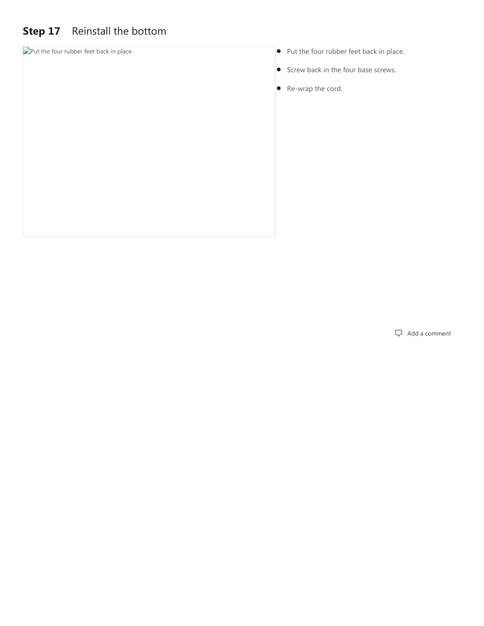# <span id="page-17-0"></span>**Step 17** [Reinstall the bottom](#page-17-0)

- Put the four rubber feet back in place. **Put the four rubber feet back in place.** Put the four rubber feet back in place.
	- Screw back in the four base screws.
	- Re-wrap the cord.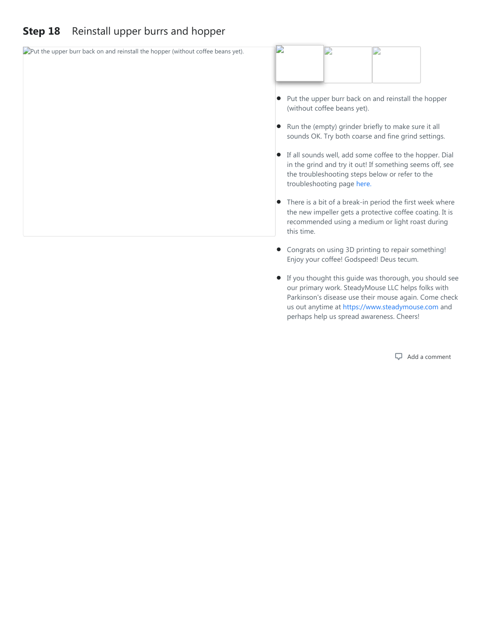#### <span id="page-18-0"></span>**Step 18** [Reinstall upper burrs and hopper](#page-18-0)

| $\Box$ Put the upper burr back on and reinstall the hopper (without coffee beans yet). | D                                                                                                                                                                                                    |  |  |  |  |  |
|----------------------------------------------------------------------------------------|------------------------------------------------------------------------------------------------------------------------------------------------------------------------------------------------------|--|--|--|--|--|
|                                                                                        | Put the upper burr back on and reinstall the hopper<br>(without coffee beans yet).                                                                                                                   |  |  |  |  |  |
|                                                                                        | Run the (empty) grinder briefly to make sure it all<br>sounds OK. Try both coarse and fine grind settings.                                                                                           |  |  |  |  |  |
|                                                                                        | If all sounds well, add some coffee to the hopper. Dial<br>in the grind and try it out! If something seems off, see<br>the troubleshooting steps below or refer to the<br>troubleshooting page here. |  |  |  |  |  |
|                                                                                        | There is a bit of a break-in period the first week where<br>the new impeller gets a protective coffee coating. It is<br>recommended using a medium or light roast during<br>this time.               |  |  |  |  |  |
|                                                                                        | Congrats on using 3D printing to repair something!<br>Enjoy your coffee! Godspeed! Deus tecum.                                                                                                       |  |  |  |  |  |

If you thought this guide was thorough, you should see our primary work. SteadyMouse LLC helps folks with Parkinson's disease use their mouse again. Come check us out anytime at [https://www.steadymouse.com](https://www.steadymouse.com/) and perhaps help us spread awareness. Cheers!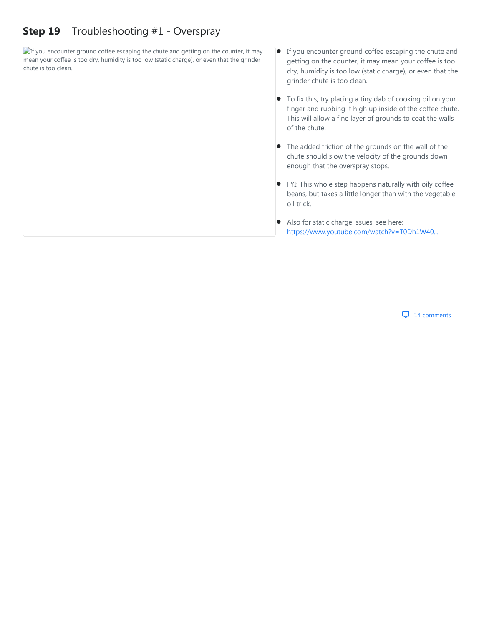#### <span id="page-19-0"></span>**Step 19** [Troubleshooting #1 - Overspray](#page-19-0)

 $\Box$ If you encounter ground coffee escaping the chute and getting on the counter, it may mean your coffee is too dry, humidity is too low (static charge), or even that the grinder chute is too clean.

- If you encounter ground coffee escaping the chute and getting on the counter, it may mean your coffee is too dry, humidity is too low (static charge), or even that the grinder chute is too clean.
- To fix this, try placing a tiny dab of cooking oil on your finger and rubbing it high up inside of the coffee chute. This will allow a fine layer of grounds to coat the walls of the chute.  $\bullet$
- The added friction of the grounds on the wall of the chute should slow the velocity of the grounds down enough that the overspray stops.
- FYI: This whole step happens naturally with oily coffee beans, but takes a little longer than with the vegetable oil trick.
- Also for static charge issues, see here: [https://www.youtube.com/watch?v=T0Dh1W40...](https://www.youtube.com/watch?v=T0Dh1W40ILY)  $\bullet$

**4** comments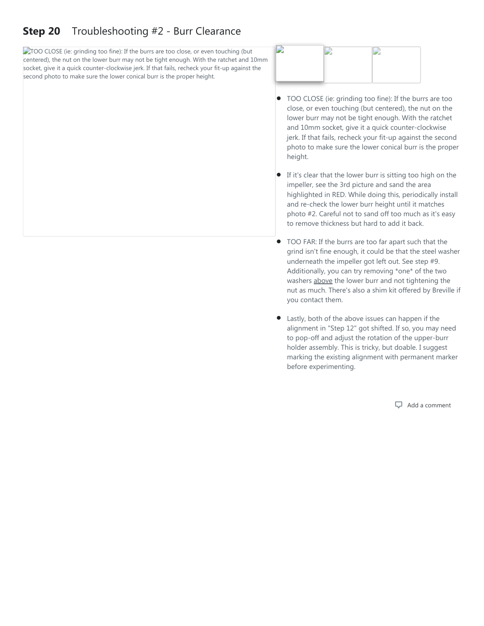#### <span id="page-20-0"></span>**Step 20** [Troubleshooting #2 - Burr Clearance](#page-20-0)

TOO CLOSE (ie: grinding too fine): If the burrs are too close, or even touching (but centered), the nut on the lower burr may not be tight enough. With the ratchet and 10mm socket, give it a quick counter-clockwise jerk. If that fails, recheck your fit-up against the second photo to make sure the lower conical burr is the proper height.



- TOO CLOSE (ie: grinding too fine): If the burrs are too close, or even touching (but centered), the nut on the lower burr may not be tight enough. With the ratchet and 10mm socket, give it a quick counter-clockwise jerk. If that fails, recheck your fit-up against the second photo to make sure the lower conical burr is the proper height.
- If it's clear that the lower burr is sitting too high on the impeller, see the 3rd picture and sand the area highlighted in RED. While doing this, periodically install and re-check the lower burr height until it matches photo #2. Careful not to sand off too much as it's easy to remove thickness but hard to add it back.
- TOO FAR: If the burrs are too far apart such that the grind isn't fine enough, it could be that the steel washer underneath the impeller got left out. See step #9. Additionally, you can try removing \*one\* of the two washers above the lower burr and not tightening the nut as much. There's also a shim kit offered by Breville if you contact them.
- Lastly, both of the above issues can happen if the alignment in "Step 12" got shifted. If so, you may need to pop-off and adjust the rotation of the upper-burr holder assembly. This is tricky, but doable. I suggest marking the existing alignment with permanent marker before experimenting.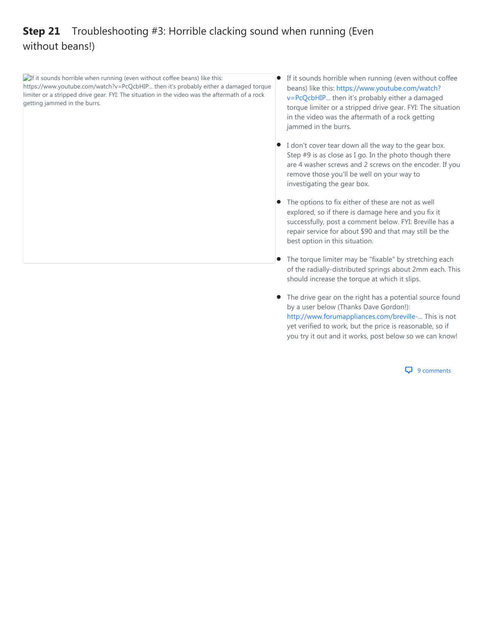## <span id="page-21-0"></span>**Step 21** [Troubleshooting #3: Horrible clacking sound when running \(Even](#page-21-0) without beans!)

**If** it sounds horrible when running (even without coffee beans) like this: https://www.youtube.com/watch?v=PcQcbHIP... then it's probably either a damaged torque limiter or a stripped drive gear. FYI: The situation in the video was the aftermath of a rock getting jammed in the burrs.

- If it sounds horrible when running (even without coffee beans) like this: https://www.youtube.com/watch? [v=PcQcbHIP... then it's probably either a damaged](https://www.youtube.com/watch?v=PcQcbHIPqx8) torque limiter or a stripped drive gear. FYI: The situation in the video was the aftermath of a rock getting jammed in the burrs.  $\bullet$
- I don't cover tear down all the way to the gear box. Step #9 is as close as I go. In the photo though there are 4 washer screws and 2 screws on the encoder. If you remove those you'll be well on your way to investigating the gear box.
- The options to fix either of these are not as well explored, so if there is damage here and you fix it successfully, post a comment below. FYI: Breville has a repair service for about \$90 and that may still be the best option in this situation.  $\bullet$
- The torque limiter may be "fixable" by stretching each of the radially-distributed springs about 2mm each. This should increase the torque at which it slips.
- The drive gear on the right has a potential source found by a user below (Thanks Dave Gordon!): [http://www.forumappliances.com/breville-...](http://www.forumappliances.com/breville-main-gear-for-bcg800-820-smart-grinder/) This is not yet verified to work, but the price is reasonable, so if you try it out and it works, post below so we can know!

**Q** 9 comments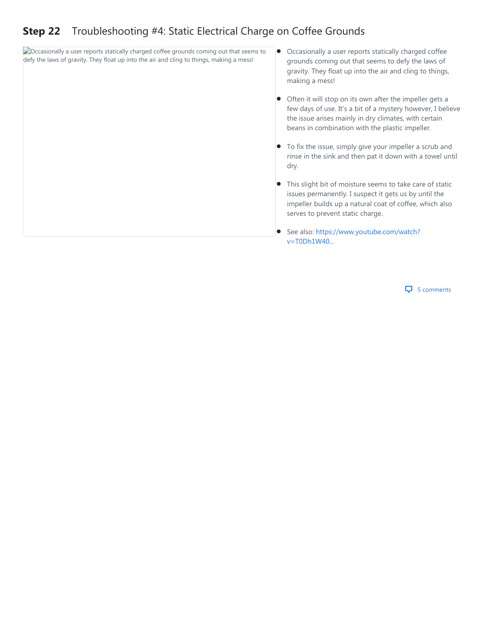#### <span id="page-22-0"></span>**Step 22** [Troubleshooting #4: Static Electrical Charge on Coffee Grounds](#page-22-0)

**Cocasionally a user reports statically charged coffee grounds coming out that seems to** defy the laws of gravity. They float up into the air and cling to things, making a mess!

- Occasionally a user reports statically charged coffee grounds coming out that seems to defy the laws of gravity. They float up into the air and cling to things, making a mess!
- Often it will stop on its own after the impeller gets a few days of use. It's a bit of a mystery however, I believe the issue arises mainly in dry climates, with certain beans in combination with the plastic impeller.  $\bullet$
- To fix the issue, simply give your impeller a scrub and rinse in the sink and then pat it down with a towel until dry.
- This slight bit of moisture seems to take care of static issues permanently. I suspect it gets us by until the impeller builds up a natural coat of coffee, which also serves to prevent static charge.
- [See also: https://www.youtube.com/watch?](https://www.youtube.com/watch?v=T0Dh1W40ILY) v=T0Dh1W40...

 $\overline{\mathbf{u}}$  5 comments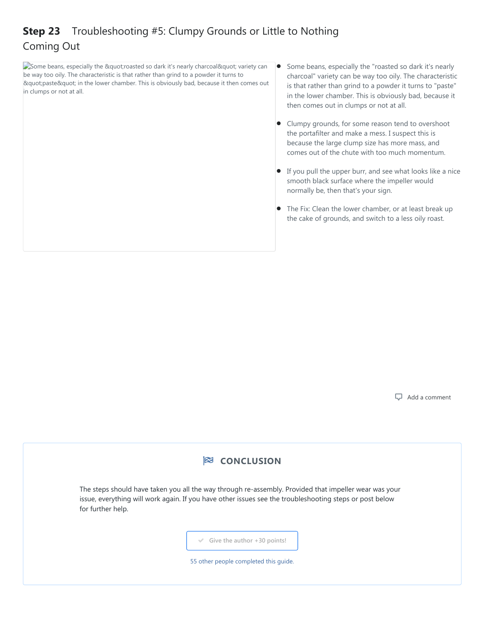# <span id="page-23-0"></span>**Step 23** [Troubleshooting #5: Clumpy Grounds or Little to Nothing](#page-23-0) Coming Out

 $\Box$  Some beans, especially the " roasted so dark it's nearly charcoal " variety can be way too oily. The characteristic is that rather than grind to a powder it turns to "paste" in the lower chamber. This is obviously bad, because it then comes out in clumps or not at all.

- Some beans, especially the "roasted so dark it's nearly charcoal" variety can be way too oily. The characteristic is that rather than grind to a powder it turns to "paste" in the lower chamber. This is obviously bad, because it then comes out in clumps or not at all.
- Clumpy grounds, for some reason tend to overshoot the portafilter and make a mess. I suspect this is because the large clump size has more mass, and comes out of the chute with too much momentum.  $\bullet$
- If you pull the upper burr, and see what looks like a nice smooth black surface where the impeller would normally be, then that's your sign.
- The Fix: Clean the lower chamber, or at least break up the cake of grounds, and switch to a less oily roast.